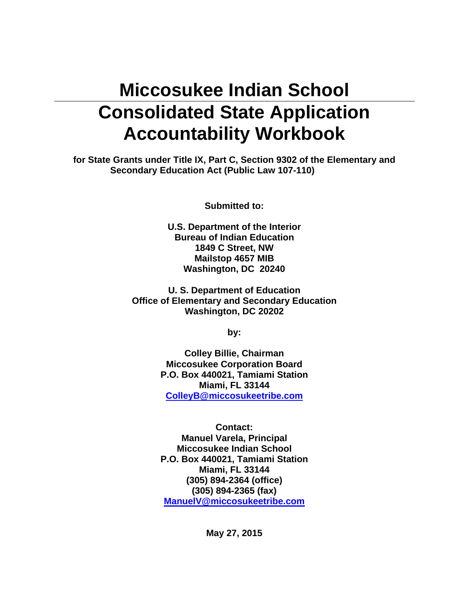# **Miccosukee Indian School Consolidated State Application Accountability Workbook**

**for State Grants under Title IX, Part C, Section 9302 of the Elementary and Secondary Education Act (Public Law 107-110)** 

**Submitted to:** 

**U.S. Department of the Interior Bureau of Indian Education 1849 C Street, NW Mailstop 4657 MIB Washington, DC 20240** 

**U. S. Department of Education Office of Elementary and Secondary Education Washington, DC 20202** 

**by:** 

**Colley Billie, Chairman Miccosukee Corporation Board P.O. Box 440021, Tamiami Station Miami, FL 33144 ColleyB@miccosukeetribe.com**

**Contact: Manuel Varela, Principal Miccosukee Indian School P.O. Box 440021, Tamiami Station Miami, FL 33144 (305) 894-2364 (office) (305) 894-2365 (fax) ManuelV@miccosukeetribe.com**

**May 27, 2015**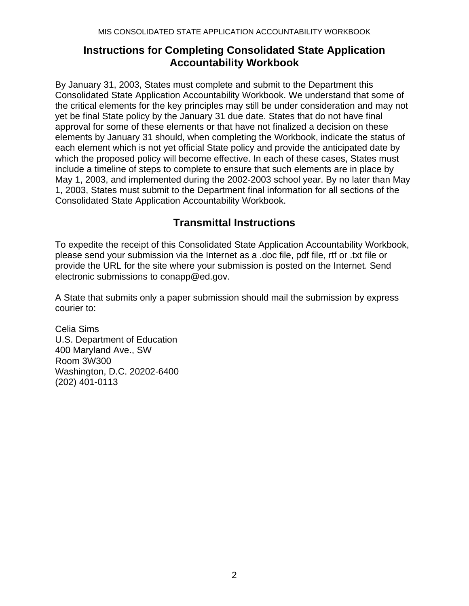# **Instructions for Completing Consolidated State Application Accountability Workbook**

By January 31, 2003, States must complete and submit to the Department this Consolidated State Application Accountability Workbook. We understand that some of the critical elements for the key principles may still be under consideration and may not yet be final State policy by the January 31 due date. States that do not have final approval for some of these elements or that have not finalized a decision on these elements by January 31 should, when completing the Workbook, indicate the status of each element which is not yet official State policy and provide the anticipated date by which the proposed policy will become effective. In each of these cases, States must include a timeline of steps to complete to ensure that such elements are in place by May 1, 2003, and implemented during the 2002-2003 school year. By no later than May 1, 2003, States must submit to the Department final information for all sections of the Consolidated State Application Accountability Workbook.

# **Transmittal Instructions**

To expedite the receipt of this Consolidated State Application Accountability Workbook, please send your submission via the Internet as a .doc file, pdf file, rtf or .txt file or provide the URL for the site where your submission is posted on the Internet. Send electronic submissions to conapp@ed.gov.

A State that submits only a paper submission should mail the submission by express courier to:

Celia Sims U.S. Department of Education 400 Maryland Ave., SW Room 3W300 Washington, D.C. 20202-6400 (202) 401-0113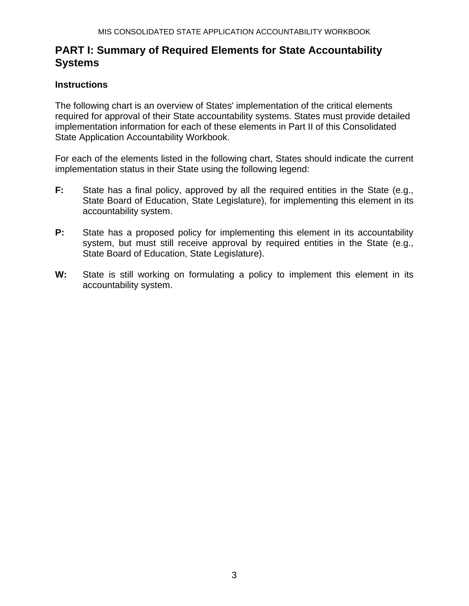# **PART I: Summary of Required Elements for State Accountability Systems**

#### **Instructions**

The following chart is an overview of States' implementation of the critical elements required for approval of their State accountability systems. States must provide detailed implementation information for each of these elements in Part II of this Consolidated State Application Accountability Workbook.

For each of the elements listed in the following chart, States should indicate the current implementation status in their State using the following legend:

- **F:** State has a final policy, approved by all the required entities in the State (e.g., State Board of Education, State Legislature), for implementing this element in its accountability system.
- **P:** State has a proposed policy for implementing this element in its accountability system, but must still receive approval by required entities in the State (e.g., State Board of Education, State Legislature).
- W: State is still working on formulating a policy to implement this element in its accountability system.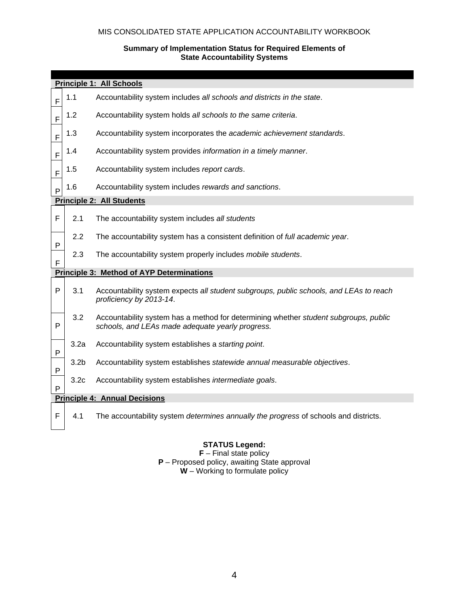#### MIS CONSOLIDATED STATE APPLICATION ACCOUNTABILITY WORKBOOK

#### **Summary of Implementation Status for Required Elements of State Accountability Systems**

| <b>Principle 1: All Schools</b> |                                      |                                                                                                                                          |  |  |  |  |  |  |  |  |  |
|---------------------------------|--------------------------------------|------------------------------------------------------------------------------------------------------------------------------------------|--|--|--|--|--|--|--|--|--|
| F                               | 1.1                                  | Accountability system includes all schools and districts in the state.                                                                   |  |  |  |  |  |  |  |  |  |
| F                               | 1.2                                  | Accountability system holds all schools to the same criteria.                                                                            |  |  |  |  |  |  |  |  |  |
| F                               | 1.3                                  | Accountability system incorporates the academic achievement standards.                                                                   |  |  |  |  |  |  |  |  |  |
| F                               | 1.4                                  | Accountability system provides information in a timely manner.                                                                           |  |  |  |  |  |  |  |  |  |
| $\mathsf F$                     | 1.5                                  | Accountability system includes report cards.                                                                                             |  |  |  |  |  |  |  |  |  |
| $\mathsf{P}$                    | 1.6                                  | Accountability system includes rewards and sanctions.                                                                                    |  |  |  |  |  |  |  |  |  |
|                                 | <b>Principle 2: All Students</b>     |                                                                                                                                          |  |  |  |  |  |  |  |  |  |
| F                               | 2.1                                  | The accountability system includes all students                                                                                          |  |  |  |  |  |  |  |  |  |
| P                               | 2.2                                  | The accountability system has a consistent definition of full academic year.                                                             |  |  |  |  |  |  |  |  |  |
| F                               | 2.3                                  | The accountability system properly includes mobile students.                                                                             |  |  |  |  |  |  |  |  |  |
|                                 |                                      | <b>Principle 3: Method of AYP Determinations</b>                                                                                         |  |  |  |  |  |  |  |  |  |
| $\mathsf{P}$                    | 3.1                                  | Accountability system expects all student subgroups, public schools, and LEAs to reach<br>proficiency by 2013-14.                        |  |  |  |  |  |  |  |  |  |
| P                               | 3.2                                  | Accountability system has a method for determining whether student subgroups, public<br>schools, and LEAs made adequate yearly progress. |  |  |  |  |  |  |  |  |  |
| P                               | 3.2a                                 | Accountability system establishes a starting point.                                                                                      |  |  |  |  |  |  |  |  |  |
| P                               | 3.2 <sub>b</sub>                     | Accountability system establishes statewide annual measurable objectives.                                                                |  |  |  |  |  |  |  |  |  |
| P                               | 3.2 <sub>c</sub>                     | Accountability system establishes intermediate goals.                                                                                    |  |  |  |  |  |  |  |  |  |
|                                 | <b>Principle 4: Annual Decisions</b> |                                                                                                                                          |  |  |  |  |  |  |  |  |  |
| F                               | 4.1                                  | The accountability system determines annually the progress of schools and districts.                                                     |  |  |  |  |  |  |  |  |  |

#### **STATUS Legend:**

**F** – Final state policy **P** – Proposed policy, awaiting State approval **W** – Working to formulate policy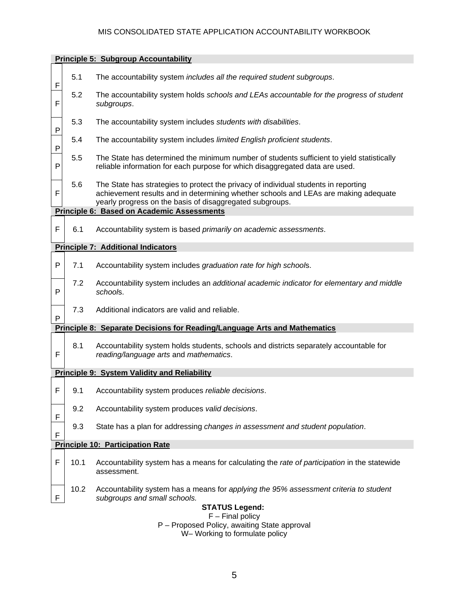#### MIS CONSOLIDATED STATE APPLICATION ACCOUNTABILITY WORKBOOK

| <b>Principle 5: Subgroup Accountability</b> |                                         |                                                                                                                                                                                                                                        |  |  |  |  |  |  |  |  |  |
|---------------------------------------------|-----------------------------------------|----------------------------------------------------------------------------------------------------------------------------------------------------------------------------------------------------------------------------------------|--|--|--|--|--|--|--|--|--|
| F                                           | 5.1                                     | The accountability system includes all the required student subgroups.                                                                                                                                                                 |  |  |  |  |  |  |  |  |  |
| F                                           | 5.2                                     | The accountability system holds schools and LEAs accountable for the progress of student<br>subgroups.                                                                                                                                 |  |  |  |  |  |  |  |  |  |
| P                                           | 5.3                                     | The accountability system includes students with disabilities.                                                                                                                                                                         |  |  |  |  |  |  |  |  |  |
| P                                           | 5.4                                     | The accountability system includes limited English proficient students.                                                                                                                                                                |  |  |  |  |  |  |  |  |  |
| P                                           | 5.5                                     | The State has determined the minimum number of students sufficient to yield statistically<br>reliable information for each purpose for which disaggregated data are used.                                                              |  |  |  |  |  |  |  |  |  |
| F                                           | 5.6                                     | The State has strategies to protect the privacy of individual students in reporting<br>achievement results and in determining whether schools and LEAs are making adequate<br>yearly progress on the basis of disaggregated subgroups. |  |  |  |  |  |  |  |  |  |
| Principle 6: Based on Academic Assessments  |                                         |                                                                                                                                                                                                                                        |  |  |  |  |  |  |  |  |  |
| F                                           | 6.1                                     | Accountability system is based primarily on academic assessments.                                                                                                                                                                      |  |  |  |  |  |  |  |  |  |
| <b>Principle 7: Additional Indicators</b>   |                                         |                                                                                                                                                                                                                                        |  |  |  |  |  |  |  |  |  |
| P                                           | 7.1                                     | Accountability system includes graduation rate for high schools.                                                                                                                                                                       |  |  |  |  |  |  |  |  |  |
| P                                           | 7.2                                     | Accountability system includes an additional academic indicator for elementary and middle<br>schools.                                                                                                                                  |  |  |  |  |  |  |  |  |  |
| P                                           | 7.3                                     | Additional indicators are valid and reliable.                                                                                                                                                                                          |  |  |  |  |  |  |  |  |  |
|                                             |                                         | <b>Principle 8: Separate Decisions for Reading/Language Arts and Mathematics</b>                                                                                                                                                       |  |  |  |  |  |  |  |  |  |
| F                                           | 8.1                                     | Accountability system holds students, schools and districts separately accountable for<br>reading/language arts and mathematics.                                                                                                       |  |  |  |  |  |  |  |  |  |
|                                             |                                         | <b>Principle 9: System Validity and Reliability</b>                                                                                                                                                                                    |  |  |  |  |  |  |  |  |  |
| F                                           | 9.1                                     | Accountability system produces reliable decisions.                                                                                                                                                                                     |  |  |  |  |  |  |  |  |  |
| F                                           | 9.2                                     | Accountability system produces valid decisions.                                                                                                                                                                                        |  |  |  |  |  |  |  |  |  |
| F                                           | 9.3                                     | State has a plan for addressing changes in assessment and student population.                                                                                                                                                          |  |  |  |  |  |  |  |  |  |
|                                             | <b>Principle 10: Participation Rate</b> |                                                                                                                                                                                                                                        |  |  |  |  |  |  |  |  |  |
| F                                           | 10.1                                    | Accountability system has a means for calculating the rate of participation in the statewide<br>assessment.                                                                                                                            |  |  |  |  |  |  |  |  |  |
| F                                           | 10.2                                    | Accountability system has a means for applying the 95% assessment criteria to student<br>subgroups and small schools.                                                                                                                  |  |  |  |  |  |  |  |  |  |
|                                             |                                         | <b>STATUS Legend:</b>                                                                                                                                                                                                                  |  |  |  |  |  |  |  |  |  |
|                                             |                                         | $F$ – Final policy                                                                                                                                                                                                                     |  |  |  |  |  |  |  |  |  |
|                                             |                                         | P - Proposed Policy, awaiting State approval<br>W- Working to formulate policy                                                                                                                                                         |  |  |  |  |  |  |  |  |  |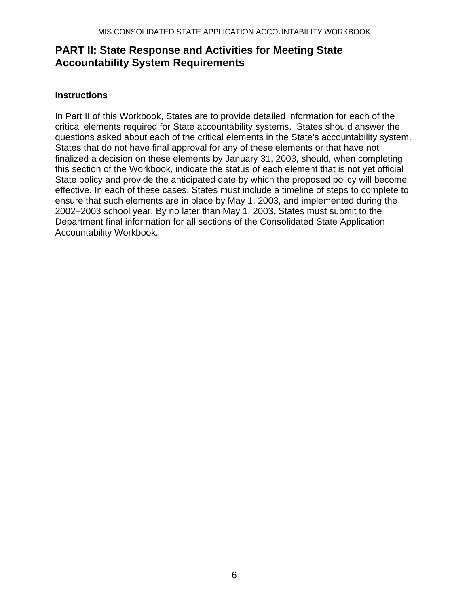# **PART II: State Response and Activities for Meeting State Accountability System Requirements**

#### **Instructions**

In Part II of this Workbook, States are to provide detailed information for each of the critical elements required for State accountability systems. States should answer the questions asked about each of the critical elements in the State's accountability system. States that do not have final approval for any of these elements or that have not finalized a decision on these elements by January 31, 2003, should, when completing this section of the Workbook, indicate the status of each element that is not yet official State policy and provide the anticipated date by which the proposed policy will become effective. In each of these cases, States must include a timeline of steps to complete to ensure that such elements are in place by May 1, 2003, and implemented during the 2002–2003 school year. By no later than May 1, 2003, States must submit to the Department final information for all sections of the Consolidated State Application Accountability Workbook.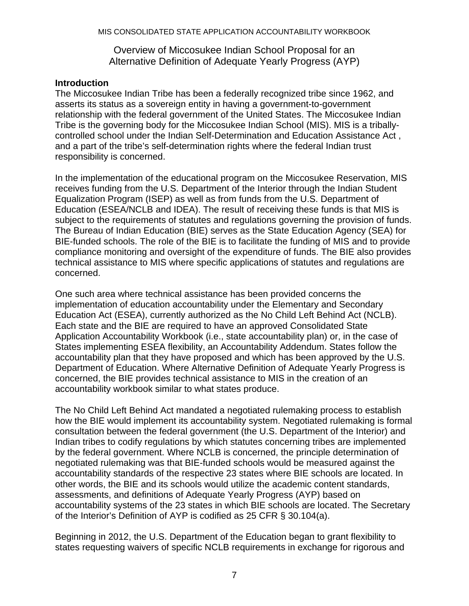#### Overview of Miccosukee Indian School Proposal for an Alternative Definition of Adequate Yearly Progress (AYP)

#### **Introduction**

The Miccosukee Indian Tribe has been a federally recognized tribe since 1962, and asserts its status as a sovereign entity in having a government-to-government relationship with the federal government of the United States. The Miccosukee Indian Tribe is the governing body for the Miccosukee Indian School (MIS). MIS is a triballycontrolled school under the Indian Self-Determination and Education Assistance Act , and a part of the tribe's self-determination rights where the federal Indian trust responsibility is concerned.

In the implementation of the educational program on the Miccosukee Reservation, MIS receives funding from the U.S. Department of the Interior through the Indian Student Equalization Program (ISEP) as well as from funds from the U.S. Department of Education (ESEA/NCLB and IDEA). The result of receiving these funds is that MIS is subject to the requirements of statutes and regulations governing the provision of funds. The Bureau of Indian Education (BIE) serves as the State Education Agency (SEA) for BIE-funded schools. The role of the BIE is to facilitate the funding of MIS and to provide compliance monitoring and oversight of the expenditure of funds. The BIE also provides technical assistance to MIS where specific applications of statutes and regulations are concerned.

One such area where technical assistance has been provided concerns the implementation of education accountability under the Elementary and Secondary Education Act (ESEA), currently authorized as the No Child Left Behind Act (NCLB). Each state and the BIE are required to have an approved Consolidated State Application Accountability Workbook (i.e., state accountability plan) or, in the case of States implementing ESEA flexibility, an Accountability Addendum. States follow the accountability plan that they have proposed and which has been approved by the U.S. Department of Education. Where Alternative Definition of Adequate Yearly Progress is concerned, the BIE provides technical assistance to MIS in the creation of an accountability workbook similar to what states produce.

The No Child Left Behind Act mandated a negotiated rulemaking process to establish how the BIE would implement its accountability system. Negotiated rulemaking is formal consultation between the federal government (the U.S. Department of the Interior) and Indian tribes to codify regulations by which statutes concerning tribes are implemented by the federal government. Where NCLB is concerned, the principle determination of negotiated rulemaking was that BIE-funded schools would be measured against the accountability standards of the respective 23 states where BIE schools are located. In other words, the BIE and its schools would utilize the academic content standards, assessments, and definitions of Adequate Yearly Progress (AYP) based on accountability systems of the 23 states in which BIE schools are located. The Secretary of the Interior's Definition of AYP is codified as 25 CFR § 30.104(a).

Beginning in 2012, the U.S. Department of the Education began to grant flexibility to states requesting waivers of specific NCLB requirements in exchange for rigorous and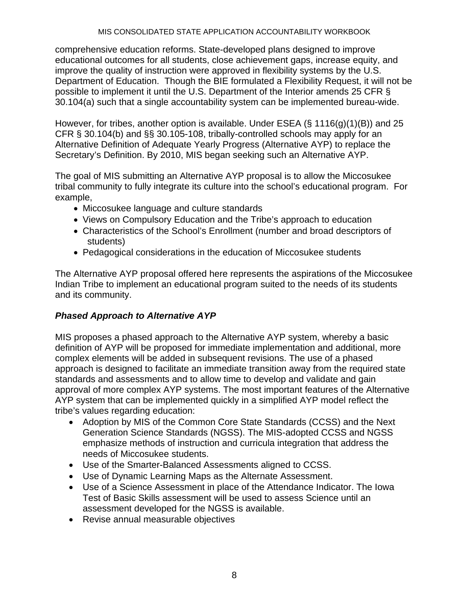comprehensive education reforms. State-developed plans designed to improve educational outcomes for all students, close achievement gaps, increase equity, and improve the quality of instruction were approved in flexibility systems by the U.S. Department of Education. Though the BIE formulated a Flexibility Request, it will not be possible to implement it until the U.S. Department of the Interior amends 25 CFR § 30.104(a) such that a single accountability system can be implemented bureau-wide.

However, for tribes, another option is available. Under ESEA ( $\S$  1116(g)(1)(B)) and 25 CFR § 30.104(b) and §§ 30.105-108, tribally-controlled schools may apply for an Alternative Definition of Adequate Yearly Progress (Alternative AYP) to replace the Secretary's Definition. By 2010, MIS began seeking such an Alternative AYP.

The goal of MIS submitting an Alternative AYP proposal is to allow the Miccosukee tribal community to fully integrate its culture into the school's educational program. For example,

- Miccosukee language and culture standards
- Views on Compulsory Education and the Tribe's approach to education
- Characteristics of the School's Enrollment (number and broad descriptors of students)
- Pedagogical considerations in the education of Miccosukee students

The Alternative AYP proposal offered here represents the aspirations of the Miccosukee Indian Tribe to implement an educational program suited to the needs of its students and its community.

## *Phased Approach to Alternative AYP*

MIS proposes a phased approach to the Alternative AYP system, whereby a basic definition of AYP will be proposed for immediate implementation and additional, more complex elements will be added in subsequent revisions. The use of a phased approach is designed to facilitate an immediate transition away from the required state standards and assessments and to allow time to develop and validate and gain approval of more complex AYP systems. The most important features of the Alternative AYP system that can be implemented quickly in a simplified AYP model reflect the tribe's values regarding education:

- Adoption by MIS of the Common Core State Standards (CCSS) and the Next Generation Science Standards (NGSS). The MIS-adopted CCSS and NGSS emphasize methods of instruction and curricula integration that address the needs of Miccosukee students.
- Use of the Smarter-Balanced Assessments aligned to CCSS.
- Use of Dynamic Learning Maps as the Alternate Assessment.
- Use of a Science Assessment in place of the Attendance Indicator. The Iowa Test of Basic Skills assessment will be used to assess Science until an assessment developed for the NGSS is available.
- Revise annual measurable objectives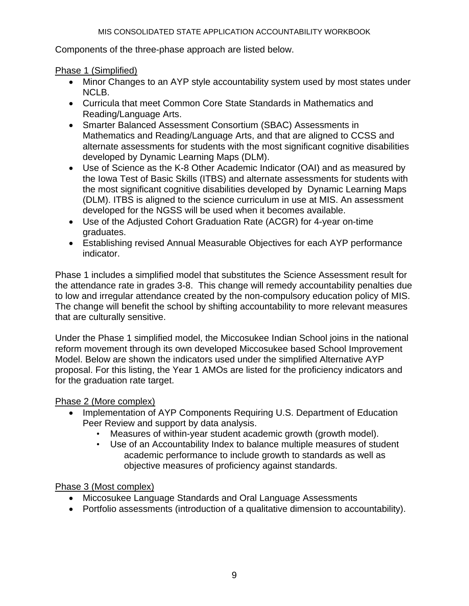Components of the three-phase approach are listed below.

Phase 1 (Simplified)

- Minor Changes to an AYP style accountability system used by most states under NCLB.
- Curricula that meet Common Core State Standards in Mathematics and Reading/Language Arts.
- Smarter Balanced Assessment Consortium (SBAC) Assessments in Mathematics and Reading/Language Arts, and that are aligned to CCSS and alternate assessments for students with the most significant cognitive disabilities developed by Dynamic Learning Maps (DLM).
- Use of Science as the K-8 Other Academic Indicator (OAI) and as measured by the Iowa Test of Basic Skills (ITBS) and alternate assessments for students with the most significant cognitive disabilities developed by Dynamic Learning Maps (DLM). ITBS is aligned to the science curriculum in use at MIS. An assessment developed for the NGSS will be used when it becomes available.
- Use of the Adjusted Cohort Graduation Rate (ACGR) for 4-year on-time graduates.
- Establishing revised Annual Measurable Objectives for each AYP performance indicator.

Phase 1 includes a simplified model that substitutes the Science Assessment result for the attendance rate in grades 3-8. This change will remedy accountability penalties due to low and irregular attendance created by the non-compulsory education policy of MIS. The change will benefit the school by shifting accountability to more relevant measures that are culturally sensitive.

Under the Phase 1 simplified model, the Miccosukee Indian School joins in the national reform movement through its own developed Miccosukee based School Improvement Model. Below are shown the indicators used under the simplified Alternative AYP proposal. For this listing, the Year 1 AMOs are listed for the proficiency indicators and for the graduation rate target.

# Phase 2 (More complex)

- Implementation of AYP Components Requiring U.S. Department of Education Peer Review and support by data analysis.
	- Measures of within-year student academic growth (growth model).
	- Use of an Accountability Index to balance multiple measures of student academic performance to include growth to standards as well as objective measures of proficiency against standards.

# Phase 3 (Most complex)

- Miccosukee Language Standards and Oral Language Assessments
- Portfolio assessments (introduction of a qualitative dimension to accountability).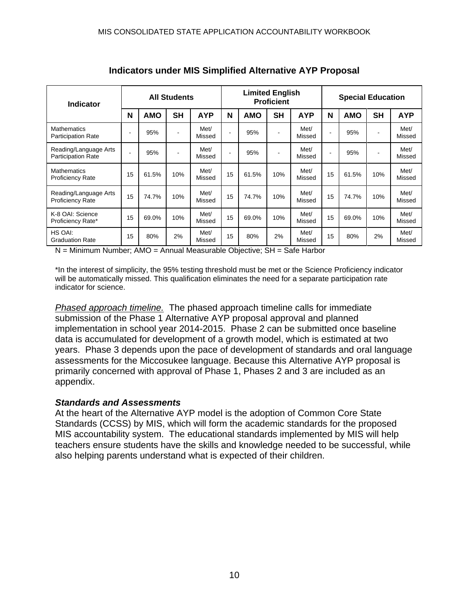| <b>Indicator</b>                                   | <b>All Students</b> |            |           | <b>Limited English</b><br><b>Proficient</b> |                          |            |           | <b>Special Education</b> |    |            |           |                |
|----------------------------------------------------|---------------------|------------|-----------|---------------------------------------------|--------------------------|------------|-----------|--------------------------|----|------------|-----------|----------------|
|                                                    | N                   | <b>AMO</b> | <b>SH</b> | <b>AYP</b>                                  | N                        | <b>AMO</b> | <b>SH</b> | <b>AYP</b>               | N  | <b>AMO</b> | <b>SH</b> | <b>AYP</b>     |
| <b>Mathematics</b><br><b>Participation Rate</b>    |                     | 95%        |           | Met/<br>Missed                              | ٠                        | 95%        |           | Met/<br>Missed           |    | 95%        |           | Met/<br>Missed |
| Reading/Language Arts<br><b>Participation Rate</b> |                     | 95%        |           | Met/<br>Missed                              | $\overline{\phantom{a}}$ | 95%        |           | Met/<br>Missed           |    | 95%        |           | Met/<br>Missed |
| <b>Mathematics</b><br><b>Proficiency Rate</b>      | 15                  | 61.5%      | 10%       | Met/<br>Missed                              | 15                       | 61.5%      | 10%       | Met/<br>Missed           | 15 | 61.5%      | 10%       | Met/<br>Missed |
| Reading/Language Arts<br><b>Proficiency Rate</b>   | 15                  | 74.7%      | 10%       | Met/<br>Missed                              | 15                       | 74.7%      | 10%       | Met/<br>Missed           | 15 | 74.7%      | 10%       | Met/<br>Missed |
| K-8 OAI: Science<br>Proficiency Rate*              | 15                  | 69.0%      | 10%       | Met/<br>Missed                              | 15                       | 69.0%      | 10%       | Met/<br>Missed           | 15 | 69.0%      | 10%       | Met/<br>Missed |
| HS OAI:<br><b>Graduation Rate</b>                  | 15                  | 80%        | 2%        | Met/<br>Missed                              | 15                       | 80%        | 2%        | Met/<br>Missed           | 15 | 80%        | 2%        | Met/<br>Missed |

**Indicators under MIS Simplified Alternative AYP Proposal** 

N = Minimum Number; AMO = Annual Measurable Objective; SH = Safe Harbor

\*In the interest of simplicity, the 95% testing threshold must be met or the Science Proficiency indicator will be automatically missed. This qualification eliminates the need for a separate participation rate indicator for science.

*Phased approach timeline.* The phased approach timeline calls for immediate submission of the Phase 1 Alternative AYP proposal approval and planned implementation in school year 2014-2015. Phase 2 can be submitted once baseline data is accumulated for development of a growth model, which is estimated at two years. Phase 3 depends upon the pace of development of standards and oral language assessments for the Miccosukee language. Because this Alternative AYP proposal is primarily concerned with approval of Phase 1, Phases 2 and 3 are included as an appendix.

#### *Standards and Assessments*

At the heart of the Alternative AYP model is the adoption of Common Core State Standards (CCSS) by MIS, which will form the academic standards for the proposed MIS accountability system. The educational standards implemented by MIS will help teachers ensure students have the skills and knowledge needed to be successful, while also helping parents understand what is expected of their children.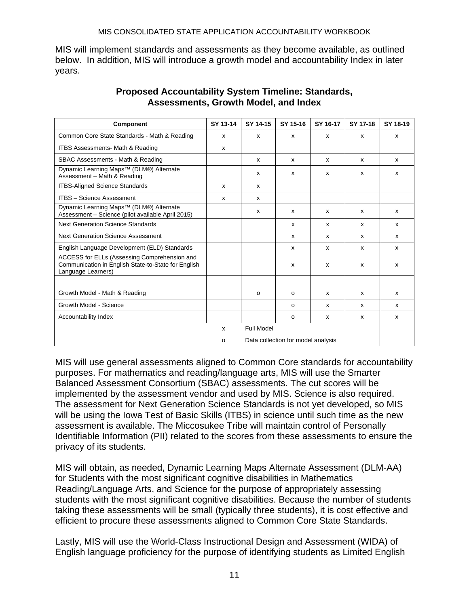MIS will implement standards and assessments as they become available, as outlined below. In addition, MIS will introduce a growth model and accountability Index in later years.

| Component                                                                                                                 | SY 13-14     | SY 14-15                  | SY 15-16                  | SY 16-17 | SY 17-18     | SY 18-19 |
|---------------------------------------------------------------------------------------------------------------------------|--------------|---------------------------|---------------------------|----------|--------------|----------|
| Common Core State Standards - Math & Reading                                                                              | X            | $\mathsf{x}$              | $\boldsymbol{\mathsf{x}}$ | x        | $\mathsf{x}$ | X        |
| <b>ITBS Assessments- Math &amp; Reading</b>                                                                               | $\mathsf{x}$ |                           |                           |          |              |          |
| SBAC Assessments - Math & Reading                                                                                         |              | $\mathsf{x}$              | x                         | x        | $\mathsf{x}$ | x        |
| Dynamic Learning Maps <sup>™</sup> (DLM®) Alternate<br>Assessment - Math & Reading                                        |              | x                         | X                         | x        | X            | x        |
| <b>ITBS-Aligned Science Standards</b>                                                                                     | X            | X                         |                           |          |              |          |
| <b>ITBS - Science Assessment</b>                                                                                          | $\mathsf{x}$ | $\boldsymbol{\mathsf{x}}$ |                           |          |              |          |
| Dynamic Learning Maps <sup>™</sup> (DLM®) Alternate<br>Assessment - Science (pilot available April 2015)                  |              | $\boldsymbol{\mathsf{x}}$ | $\boldsymbol{\mathsf{x}}$ | x        | x            | X        |
| <b>Next Generation Science Standards</b>                                                                                  |              |                           | $\boldsymbol{\mathsf{x}}$ | X        | x            | X        |
| <b>Next Generation Science Assessment</b>                                                                                 |              |                           | $\boldsymbol{\mathsf{x}}$ | x        | x            | X        |
| English Language Development (ELD) Standards                                                                              |              |                           | $\boldsymbol{\mathsf{x}}$ | x        | X            | x        |
| ACCESS for ELLs (Assessing Comprehension and<br>Communication in English State-to-State for English<br>Language Learners) |              |                           | X                         | x        | X            | x        |
|                                                                                                                           |              |                           |                           |          |              |          |
| Growth Model - Math & Reading                                                                                             |              | $\Omega$                  | $\Omega$                  | x        | x            | x        |
| Growth Model - Science                                                                                                    |              |                           | O                         | x        | x            | x        |
| Accountability Index                                                                                                      |              |                           | $\Omega$                  | X        | $\mathsf{x}$ | X        |
|                                                                                                                           | x            | Full Model                |                           |          |              |          |
| Data collection for model analysis<br>o                                                                                   |              |                           |                           |          |              |          |

#### **Proposed Accountability System Timeline: Standards, Assessments, Growth Model, and Index**

MIS will use general assessments aligned to Common Core standards for accountability purposes. For mathematics and reading/language arts, MIS will use the Smarter Balanced Assessment Consortium (SBAC) assessments. The cut scores will be implemented by the assessment vendor and used by MIS. Science is also required. The assessment for Next Generation Science Standards is not yet developed, so MIS will be using the Iowa Test of Basic Skills (ITBS) in science until such time as the new assessment is available. The Miccosukee Tribe will maintain control of Personally Identifiable Information (PII) related to the scores from these assessments to ensure the privacy of its students.

MIS will obtain, as needed, Dynamic Learning Maps Alternate Assessment (DLM-AA) for Students with the most significant cognitive disabilities in Mathematics Reading/Language Arts, and Science for the purpose of appropriately assessing students with the most significant cognitive disabilities. Because the number of students taking these assessments will be small (typically three students), it is cost effective and efficient to procure these assessments aligned to Common Core State Standards.

Lastly, MIS will use the World-Class Instructional Design and Assessment (WIDA) of English language proficiency for the purpose of identifying students as Limited English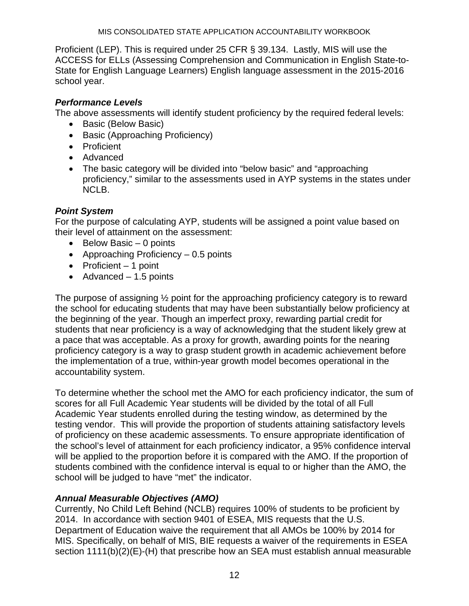Proficient (LEP). This is required under 25 CFR § 39.134. Lastly, MIS will use the ACCESS for ELLs (Assessing Comprehension and Communication in English State-to-State for English Language Learners) English language assessment in the 2015-2016 school year.

## *Performance Levels*

The above assessments will identify student proficiency by the required federal levels:

- Basic (Below Basic)
- Basic (Approaching Proficiency)
- **•** Proficient
- Advanced
- The basic category will be divided into "below basic" and "approaching proficiency," similar to the assessments used in AYP systems in the states under NCLB.

## *Point System*

For the purpose of calculating AYP, students will be assigned a point value based on their level of attainment on the assessment:

- $\bullet$  Below Basic 0 points
- Approaching Proficiency  $-0.5$  points
- $\bullet$  Proficient 1 point
- $\bullet$  Advanced 1.5 points

The purpose of assigning ½ point for the approaching proficiency category is to reward the school for educating students that may have been substantially below proficiency at the beginning of the year. Though an imperfect proxy, rewarding partial credit for students that near proficiency is a way of acknowledging that the student likely grew at a pace that was acceptable. As a proxy for growth, awarding points for the nearing proficiency category is a way to grasp student growth in academic achievement before the implementation of a true, within-year growth model becomes operational in the accountability system.

To determine whether the school met the AMO for each proficiency indicator, the sum of scores for all Full Academic Year students will be divided by the total of all Full Academic Year students enrolled during the testing window, as determined by the testing vendor. This will provide the proportion of students attaining satisfactory levels of proficiency on these academic assessments. To ensure appropriate identification of the school's level of attainment for each proficiency indicator, a 95% confidence interval will be applied to the proportion before it is compared with the AMO. If the proportion of students combined with the confidence interval is equal to or higher than the AMO, the school will be judged to have "met" the indicator.

## *Annual Measurable Objectives (AMO)*

Currently, No Child Left Behind (NCLB) requires 100% of students to be proficient by 2014. In accordance with section 9401 of ESEA, MIS requests that the U.S. Department of Education waive the requirement that all AMOs be 100% by 2014 for MIS. Specifically, on behalf of MIS, BIE requests a waiver of the requirements in ESEA section 1111(b)(2)(E)-(H) that prescribe how an SEA must establish annual measurable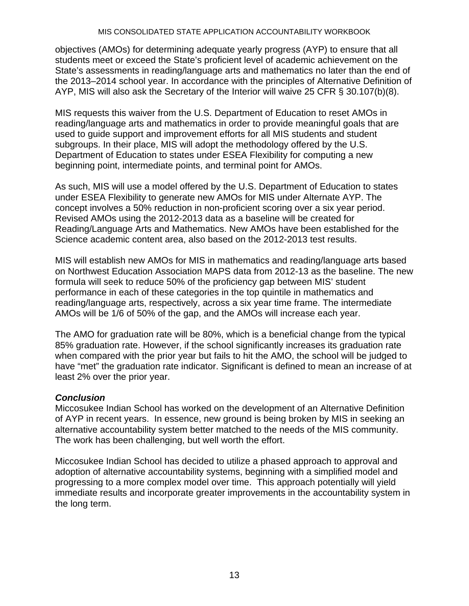#### MIS CONSOLIDATED STATE APPLICATION ACCOUNTABILITY WORKBOOK

objectives (AMOs) for determining adequate yearly progress (AYP) to ensure that all students meet or exceed the State's proficient level of academic achievement on the State's assessments in reading/language arts and mathematics no later than the end of the 2013–2014 school year. In accordance with the principles of Alternative Definition of AYP, MIS will also ask the Secretary of the Interior will waive 25 CFR § 30.107(b)(8).

MIS requests this waiver from the U.S. Department of Education to reset AMOs in reading/language arts and mathematics in order to provide meaningful goals that are used to guide support and improvement efforts for all MIS students and student subgroups. In their place, MIS will adopt the methodology offered by the U.S. Department of Education to states under ESEA Flexibility for computing a new beginning point, intermediate points, and terminal point for AMOs.

As such, MIS will use a model offered by the U.S. Department of Education to states under ESEA Flexibility to generate new AMOs for MIS under Alternate AYP. The concept involves a 50% reduction in non-proficient scoring over a six year period. Revised AMOs using the 2012-2013 data as a baseline will be created for Reading/Language Arts and Mathematics. New AMOs have been established for the Science academic content area, also based on the 2012-2013 test results.

MIS will establish new AMOs for MIS in mathematics and reading/language arts based on Northwest Education Association MAPS data from 2012-13 as the baseline. The new formula will seek to reduce 50% of the proficiency gap between MIS' student performance in each of these categories in the top quintile in mathematics and reading/language arts, respectively, across a six year time frame. The intermediate AMOs will be 1/6 of 50% of the gap, and the AMOs will increase each year.

The AMO for graduation rate will be 80%, which is a beneficial change from the typical 85% graduation rate. However, if the school significantly increases its graduation rate when compared with the prior year but fails to hit the AMO, the school will be judged to have "met" the graduation rate indicator. Significant is defined to mean an increase of at least 2% over the prior year.

#### *Conclusion*

Miccosukee Indian School has worked on the development of an Alternative Definition of AYP in recent years. In essence, new ground is being broken by MIS in seeking an alternative accountability system better matched to the needs of the MIS community. The work has been challenging, but well worth the effort.

Miccosukee Indian School has decided to utilize a phased approach to approval and adoption of alternative accountability systems, beginning with a simplified model and progressing to a more complex model over time. This approach potentially will yield immediate results and incorporate greater improvements in the accountability system in the long term.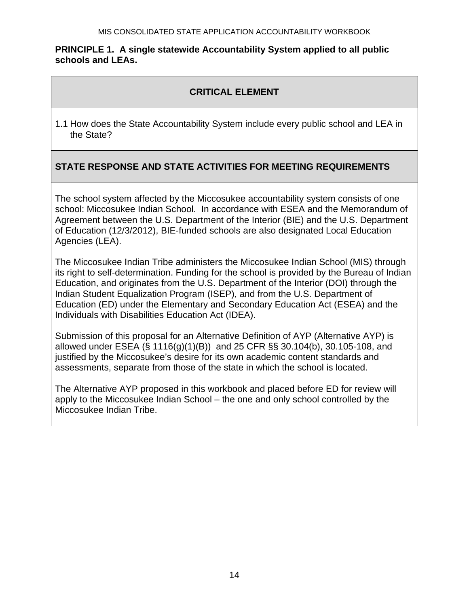#### **PRINCIPLE 1. A single statewide Accountability System applied to all public schools and LEAs.**

## **CRITICAL ELEMENT**

1.1 How does the State Accountability System include every public school and LEA in the State?

## **STATE RESPONSE AND STATE ACTIVITIES FOR MEETING REQUIREMENTS**

The school system affected by the Miccosukee accountability system consists of one school: Miccosukee Indian School. In accordance with ESEA and the Memorandum of Agreement between the U.S. Department of the Interior (BIE) and the U.S. Department of Education (12/3/2012), BIE-funded schools are also designated Local Education Agencies (LEA).

The Miccosukee Indian Tribe administers the Miccosukee Indian School (MIS) through its right to self-determination. Funding for the school is provided by the Bureau of Indian Education, and originates from the U.S. Department of the Interior (DOI) through the Indian Student Equalization Program (ISEP), and from the U.S. Department of Education (ED) under the Elementary and Secondary Education Act (ESEA) and the Individuals with Disabilities Education Act (IDEA).

Submission of this proposal for an Alternative Definition of AYP (Alternative AYP) is allowed under ESEA (§ 1116(g)(1)(B)) and 25 CFR §§ 30.104(b), 30.105-108, and justified by the Miccosukee's desire for its own academic content standards and assessments, separate from those of the state in which the school is located.

The Alternative AYP proposed in this workbook and placed before ED for review will apply to the Miccosukee Indian School – the one and only school controlled by the Miccosukee Indian Tribe.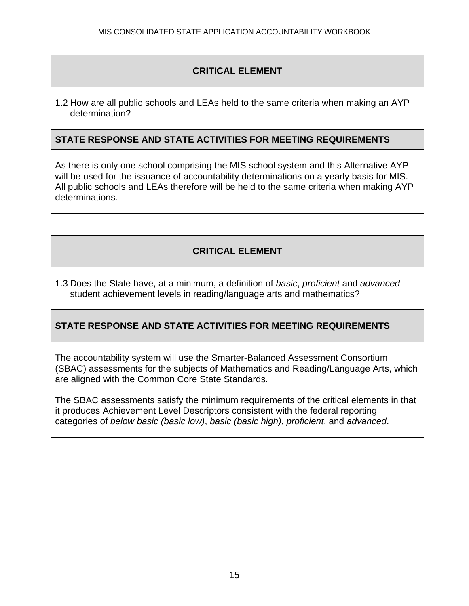1.2 How are all public schools and LEAs held to the same criteria when making an AYP determination?

#### **STATE RESPONSE AND STATE ACTIVITIES FOR MEETING REQUIREMENTS**

As there is only one school comprising the MIS school system and this Alternative AYP will be used for the issuance of accountability determinations on a yearly basis for MIS. All public schools and LEAs therefore will be held to the same criteria when making AYP determinations.

## **CRITICAL ELEMENT**

1.3 Does the State have, at a minimum, a definition of *basic*, *proficient* and *advanced* student achievement levels in reading/language arts and mathematics?

## **STATE RESPONSE AND STATE ACTIVITIES FOR MEETING REQUIREMENTS**

The accountability system will use the Smarter-Balanced Assessment Consortium (SBAC) assessments for the subjects of Mathematics and Reading/Language Arts, which are aligned with the Common Core State Standards.

The SBAC assessments satisfy the minimum requirements of the critical elements in that it produces Achievement Level Descriptors consistent with the federal reporting categories of *below basic (basic low)*, *basic (basic high)*, *proficient*, and *advanced*.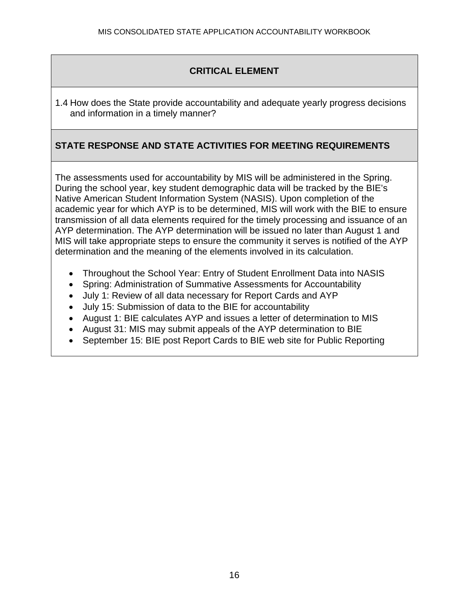1.4 How does the State provide accountability and adequate yearly progress decisions and information in a timely manner?

## **STATE RESPONSE AND STATE ACTIVITIES FOR MEETING REQUIREMENTS**

The assessments used for accountability by MIS will be administered in the Spring. During the school year, key student demographic data will be tracked by the BIE's Native American Student Information System (NASIS). Upon completion of the academic year for which AYP is to be determined, MIS will work with the BIE to ensure transmission of all data elements required for the timely processing and issuance of an AYP determination. The AYP determination will be issued no later than August 1 and MIS will take appropriate steps to ensure the community it serves is notified of the AYP determination and the meaning of the elements involved in its calculation.

- Throughout the School Year: Entry of Student Enrollment Data into NASIS
- Spring: Administration of Summative Assessments for Accountability
- July 1: Review of all data necessary for Report Cards and AYP
- July 15: Submission of data to the BIE for accountability
- August 1: BIE calculates AYP and issues a letter of determination to MIS
- August 31: MIS may submit appeals of the AYP determination to BIE
- September 15: BIE post Report Cards to BIE web site for Public Reporting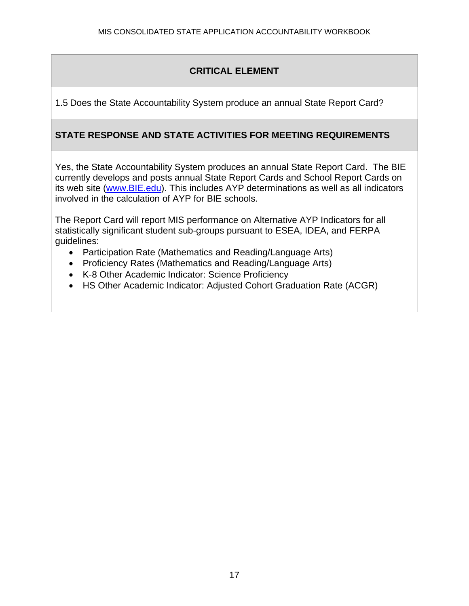1.5 Does the State Accountability System produce an annual State Report Card?

## **STATE RESPONSE AND STATE ACTIVITIES FOR MEETING REQUIREMENTS**

Yes, the State Accountability System produces an annual State Report Card. The BIE currently develops and posts annual State Report Cards and School Report Cards on its web site (www.BIE.edu). This includes AYP determinations as well as all indicators involved in the calculation of AYP for BIE schools.

The Report Card will report MIS performance on Alternative AYP Indicators for all statistically significant student sub-groups pursuant to ESEA, IDEA, and FERPA guidelines:

- Participation Rate (Mathematics and Reading/Language Arts)
- Proficiency Rates (Mathematics and Reading/Language Arts)
- K-8 Other Academic Indicator: Science Proficiency
- HS Other Academic Indicator: Adjusted Cohort Graduation Rate (ACGR)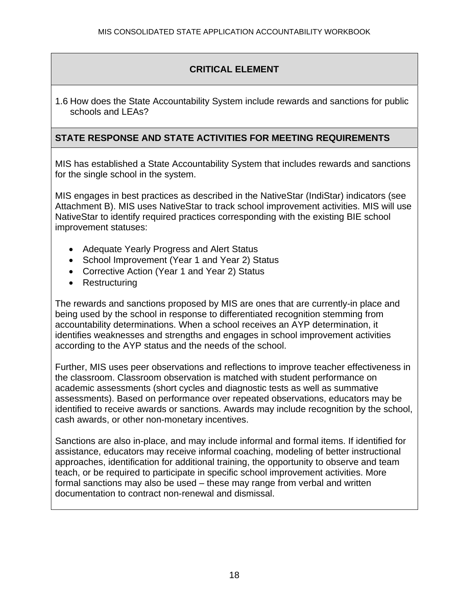1.6 How does the State Accountability System include rewards and sanctions for public schools and LEAs?

## **STATE RESPONSE AND STATE ACTIVITIES FOR MEETING REQUIREMENTS**

MIS has established a State Accountability System that includes rewards and sanctions for the single school in the system.

MIS engages in best practices as described in the NativeStar (IndiStar) indicators (see Attachment B). MIS uses NativeStar to track school improvement activities. MIS will use NativeStar to identify required practices corresponding with the existing BIE school improvement statuses:

- Adequate Yearly Progress and Alert Status
- School Improvement (Year 1 and Year 2) Status
- Corrective Action (Year 1 and Year 2) Status
- Restructuring

The rewards and sanctions proposed by MIS are ones that are currently-in place and being used by the school in response to differentiated recognition stemming from accountability determinations. When a school receives an AYP determination, it identifies weaknesses and strengths and engages in school improvement activities according to the AYP status and the needs of the school.

Further, MIS uses peer observations and reflections to improve teacher effectiveness in the classroom. Classroom observation is matched with student performance on academic assessments (short cycles and diagnostic tests as well as summative assessments). Based on performance over repeated observations, educators may be identified to receive awards or sanctions. Awards may include recognition by the school, cash awards, or other non-monetary incentives.

Sanctions are also in-place, and may include informal and formal items. If identified for assistance, educators may receive informal coaching, modeling of better instructional approaches, identification for additional training, the opportunity to observe and team teach, or be required to participate in specific school improvement activities. More formal sanctions may also be used – these may range from verbal and written documentation to contract non-renewal and dismissal.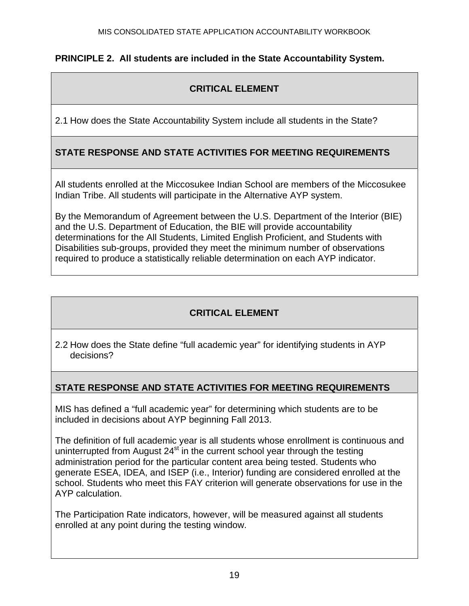## **PRINCIPLE 2. All students are included in the State Accountability System.**

## **CRITICAL ELEMENT**

2.1 How does the State Accountability System include all students in the State?

## **STATE RESPONSE AND STATE ACTIVITIES FOR MEETING REQUIREMENTS**

All students enrolled at the Miccosukee Indian School are members of the Miccosukee Indian Tribe. All students will participate in the Alternative AYP system.

By the Memorandum of Agreement between the U.S. Department of the Interior (BIE) and the U.S. Department of Education, the BIE will provide accountability determinations for the All Students, Limited English Proficient, and Students with Disabilities sub-groups, provided they meet the minimum number of observations required to produce a statistically reliable determination on each AYP indicator.

## **CRITICAL ELEMENT**

2.2 How does the State define "full academic year" for identifying students in AYP decisions?

## **STATE RESPONSE AND STATE ACTIVITIES FOR MEETING REQUIREMENTS**

MIS has defined a "full academic year" for determining which students are to be included in decisions about AYP beginning Fall 2013.

The definition of full academic year is all students whose enrollment is continuous and uninterrupted from August  $24<sup>st</sup>$  in the current school year through the testing administration period for the particular content area being tested. Students who generate ESEA, IDEA, and ISEP (i.e., Interior) funding are considered enrolled at the school. Students who meet this FAY criterion will generate observations for use in the AYP calculation.

The Participation Rate indicators, however, will be measured against all students enrolled at any point during the testing window.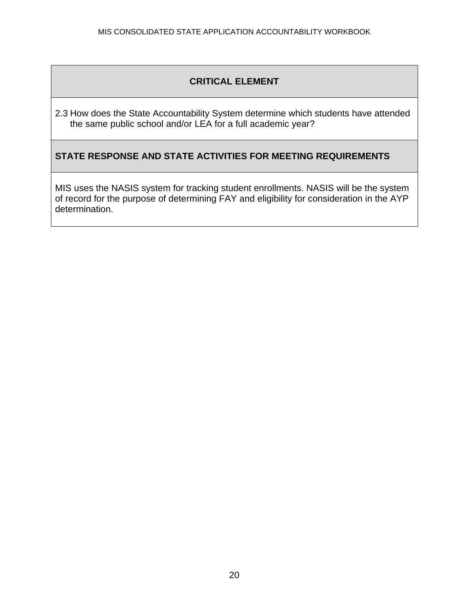2.3 How does the State Accountability System determine which students have attended the same public school and/or LEA for a full academic year?

## **STATE RESPONSE AND STATE ACTIVITIES FOR MEETING REQUIREMENTS**

MIS uses the NASIS system for tracking student enrollments. NASIS will be the system of record for the purpose of determining FAY and eligibility for consideration in the AYP determination.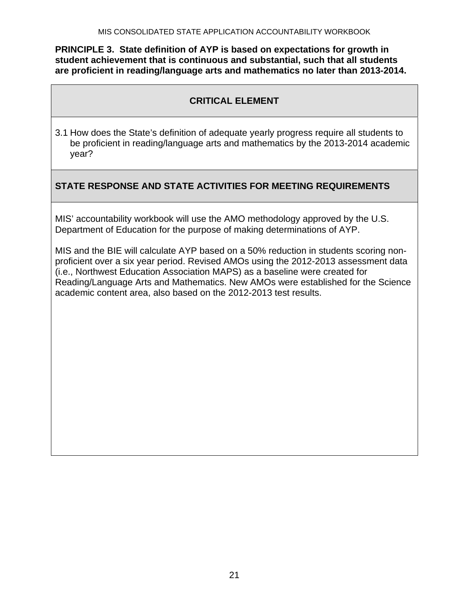**PRINCIPLE 3. State definition of AYP is based on expectations for growth in student achievement that is continuous and substantial, such that all students are proficient in reading/language arts and mathematics no later than 2013-2014.** 

## **CRITICAL ELEMENT**

3.1 How does the State's definition of adequate yearly progress require all students to be proficient in reading/language arts and mathematics by the 2013-2014 academic year?

## **STATE RESPONSE AND STATE ACTIVITIES FOR MEETING REQUIREMENTS**

MIS' accountability workbook will use the AMO methodology approved by the U.S. Department of Education for the purpose of making determinations of AYP.

MIS and the BIE will calculate AYP based on a 50% reduction in students scoring nonproficient over a six year period. Revised AMOs using the 2012-2013 assessment data (i.e., Northwest Education Association MAPS) as a baseline were created for Reading/Language Arts and Mathematics. New AMOs were established for the Science academic content area, also based on the 2012-2013 test results.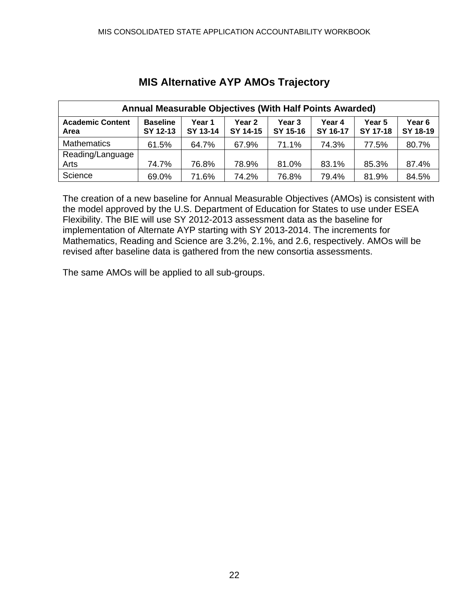| Annual Measurable Objectives (With Half Points Awarded) |                             |                    |                    |                               |                    |                    |                               |  |  |  |
|---------------------------------------------------------|-----------------------------|--------------------|--------------------|-------------------------------|--------------------|--------------------|-------------------------------|--|--|--|
| <b>Academic Content</b><br>Area                         | <b>Baseline</b><br>SY 12-13 | Year 1<br>SY 13-14 | Year 2<br>SY 14-15 | Year <sub>3</sub><br>SY 15-16 | Year 4<br>SY 16-17 | Year 5<br>SY 17-18 | Year <sub>6</sub><br>SY 18-19 |  |  |  |
| <b>Mathematics</b>                                      | 61.5%                       | 64.7%              | 67.9%              | 71.1%                         | 74.3%              | 77.5%              | 80.7%                         |  |  |  |
| Reading/Language                                        |                             |                    |                    |                               |                    |                    |                               |  |  |  |
| Arts                                                    | 74.7%                       | 76.8%              | 78.9%              | 81.0%                         | 83.1%              | 85.3%              | 87.4%                         |  |  |  |
| Science                                                 | 69.0%                       | 71.6%              | 74.2%              | 76.8%                         | 79.4%              | 81.9%              | 84.5%                         |  |  |  |

# **MIS Alternative AYP AMOs Trajectory**

The creation of a new baseline for Annual Measurable Objectives (AMOs) is consistent with the model approved by the U.S. Department of Education for States to use under ESEA Flexibility. The BIE will use SY 2012-2013 assessment data as the baseline for implementation of Alternate AYP starting with SY 2013-2014. The increments for Mathematics, Reading and Science are 3.2%, 2.1%, and 2.6, respectively. AMOs will be revised after baseline data is gathered from the new consortia assessments.

The same AMOs will be applied to all sub-groups.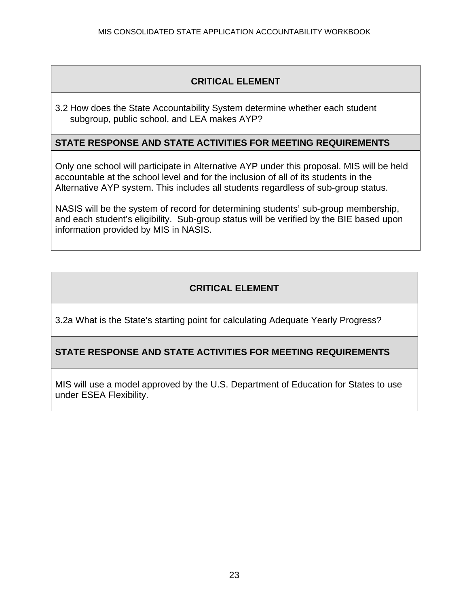3.2 How does the State Accountability System determine whether each student subgroup, public school, and LEA makes AYP?

#### **STATE RESPONSE AND STATE ACTIVITIES FOR MEETING REQUIREMENTS**

Only one school will participate in Alternative AYP under this proposal. MIS will be held accountable at the school level and for the inclusion of all of its students in the Alternative AYP system. This includes all students regardless of sub-group status.

NASIS will be the system of record for determining students' sub-group membership, and each student's eligibility. Sub-group status will be verified by the BIE based upon information provided by MIS in NASIS.

## **CRITICAL ELEMENT**

3.2a What is the State's starting point for calculating Adequate Yearly Progress?

## **STATE RESPONSE AND STATE ACTIVITIES FOR MEETING REQUIREMENTS**

MIS will use a model approved by the U.S. Department of Education for States to use under ESEA Flexibility.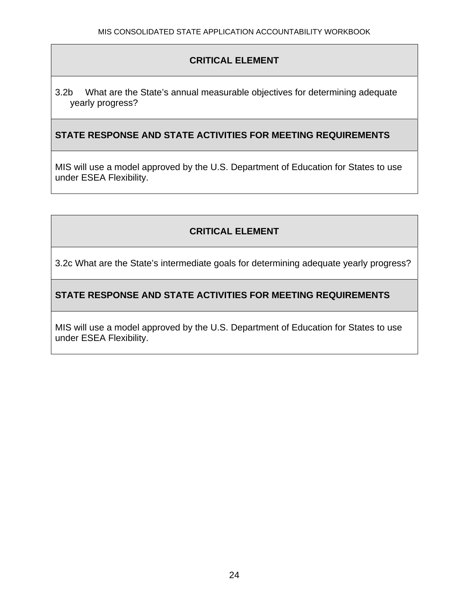3.2b What are the State's annual measurable objectives for determining adequate yearly progress?

## **STATE RESPONSE AND STATE ACTIVITIES FOR MEETING REQUIREMENTS**

MIS will use a model approved by the U.S. Department of Education for States to use under ESEA Flexibility.

## **CRITICAL ELEMENT**

3.2c What are the State's intermediate goals for determining adequate yearly progress?

## **STATE RESPONSE AND STATE ACTIVITIES FOR MEETING REQUIREMENTS**

MIS will use a model approved by the U.S. Department of Education for States to use under ESEA Flexibility.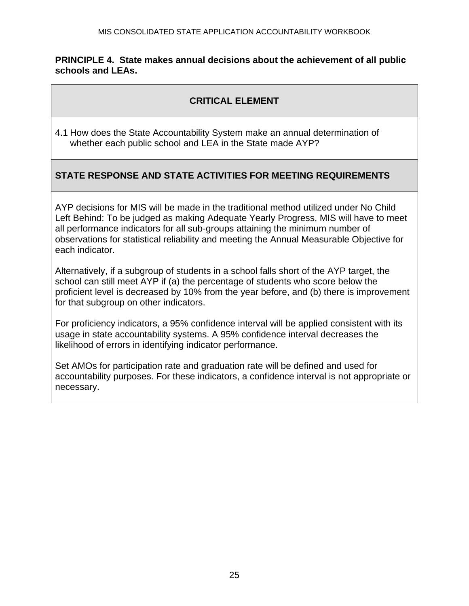#### **PRINCIPLE 4. State makes annual decisions about the achievement of all public schools and LEAs.**

## **CRITICAL ELEMENT**

4.1 How does the State Accountability System make an annual determination of whether each public school and LEA in the State made AYP?

## **STATE RESPONSE AND STATE ACTIVITIES FOR MEETING REQUIREMENTS**

AYP decisions for MIS will be made in the traditional method utilized under No Child Left Behind: To be judged as making Adequate Yearly Progress, MIS will have to meet all performance indicators for all sub-groups attaining the minimum number of observations for statistical reliability and meeting the Annual Measurable Objective for each indicator.

Alternatively, if a subgroup of students in a school falls short of the AYP target, the school can still meet AYP if (a) the percentage of students who score below the proficient level is decreased by 10% from the year before, and (b) there is improvement for that subgroup on other indicators.

For proficiency indicators, a 95% confidence interval will be applied consistent with its usage in state accountability systems. A 95% confidence interval decreases the likelihood of errors in identifying indicator performance.

Set AMOs for participation rate and graduation rate will be defined and used for accountability purposes. For these indicators, a confidence interval is not appropriate or necessary.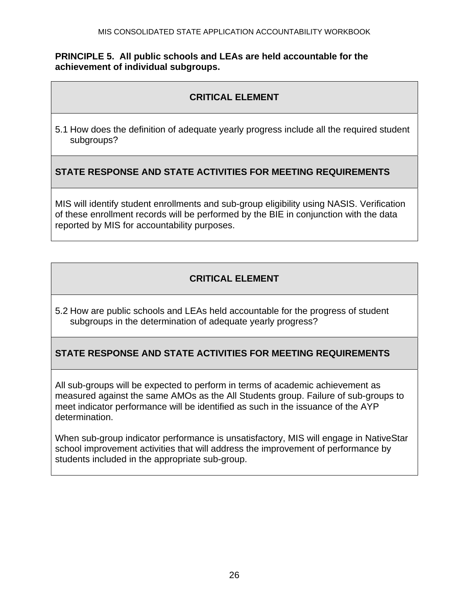#### **PRINCIPLE 5. All public schools and LEAs are held accountable for the achievement of individual subgroups.**

## **CRITICAL ELEMENT**

5.1 How does the definition of adequate yearly progress include all the required student subgroups?

## **STATE RESPONSE AND STATE ACTIVITIES FOR MEETING REQUIREMENTS**

MIS will identify student enrollments and sub-group eligibility using NASIS. Verification of these enrollment records will be performed by the BIE in conjunction with the data reported by MIS for accountability purposes.

## **CRITICAL ELEMENT**

5.2 How are public schools and LEAs held accountable for the progress of student subgroups in the determination of adequate yearly progress?

## **STATE RESPONSE AND STATE ACTIVITIES FOR MEETING REQUIREMENTS**

All sub-groups will be expected to perform in terms of academic achievement as measured against the same AMOs as the All Students group. Failure of sub-groups to meet indicator performance will be identified as such in the issuance of the AYP determination.

When sub-group indicator performance is unsatisfactory, MIS will engage in NativeStar school improvement activities that will address the improvement of performance by students included in the appropriate sub-group.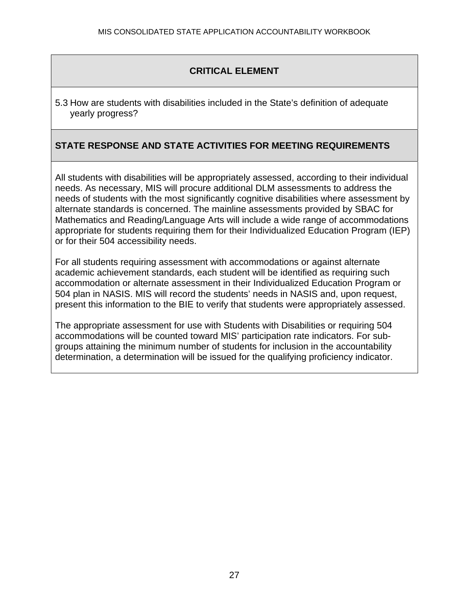5.3 How are students with disabilities included in the State's definition of adequate yearly progress?

## **STATE RESPONSE AND STATE ACTIVITIES FOR MEETING REQUIREMENTS**

All students with disabilities will be appropriately assessed, according to their individual needs. As necessary, MIS will procure additional DLM assessments to address the needs of students with the most significantly cognitive disabilities where assessment by alternate standards is concerned. The mainline assessments provided by SBAC for Mathematics and Reading/Language Arts will include a wide range of accommodations appropriate for students requiring them for their Individualized Education Program (IEP) or for their 504 accessibility needs.

For all students requiring assessment with accommodations or against alternate academic achievement standards, each student will be identified as requiring such accommodation or alternate assessment in their Individualized Education Program or 504 plan in NASIS. MIS will record the students' needs in NASIS and, upon request, present this information to the BIE to verify that students were appropriately assessed.

The appropriate assessment for use with Students with Disabilities or requiring 504 accommodations will be counted toward MIS' participation rate indicators. For subgroups attaining the minimum number of students for inclusion in the accountability determination, a determination will be issued for the qualifying proficiency indicator.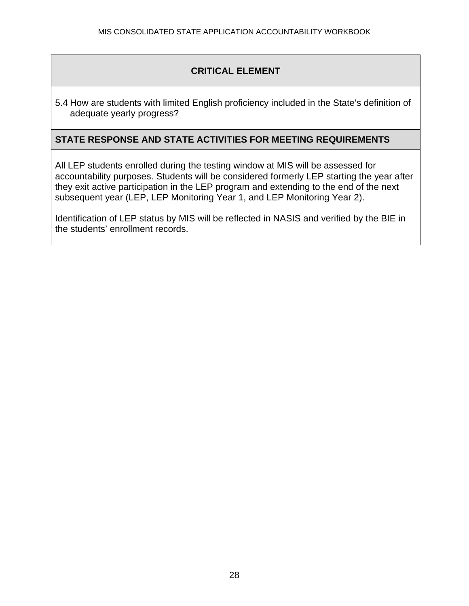5.4 How are students with limited English proficiency included in the State's definition of adequate yearly progress?

#### **STATE RESPONSE AND STATE ACTIVITIES FOR MEETING REQUIREMENTS**

All LEP students enrolled during the testing window at MIS will be assessed for accountability purposes. Students will be considered formerly LEP starting the year after they exit active participation in the LEP program and extending to the end of the next subsequent year (LEP, LEP Monitoring Year 1, and LEP Monitoring Year 2).

Identification of LEP status by MIS will be reflected in NASIS and verified by the BIE in the students' enrollment records.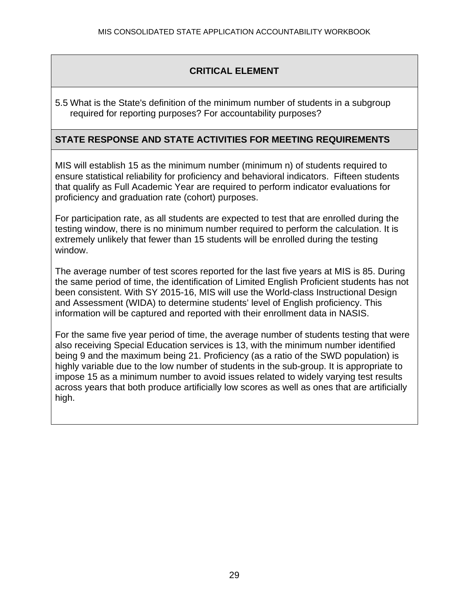5.5 What is the State's definition of the minimum number of students in a subgroup required for reporting purposes? For accountability purposes?

#### **STATE RESPONSE AND STATE ACTIVITIES FOR MEETING REQUIREMENTS**

MIS will establish 15 as the minimum number (minimum n) of students required to ensure statistical reliability for proficiency and behavioral indicators. Fifteen students that qualify as Full Academic Year are required to perform indicator evaluations for proficiency and graduation rate (cohort) purposes.

For participation rate, as all students are expected to test that are enrolled during the testing window, there is no minimum number required to perform the calculation. It is extremely unlikely that fewer than 15 students will be enrolled during the testing window.

The average number of test scores reported for the last five years at MIS is 85. During the same period of time, the identification of Limited English Proficient students has not been consistent. With SY 2015-16, MIS will use the World-class Instructional Design and Assessment (WIDA) to determine students' level of English proficiency. This information will be captured and reported with their enrollment data in NASIS.

For the same five year period of time, the average number of students testing that were also receiving Special Education services is 13, with the minimum number identified being 9 and the maximum being 21. Proficiency (as a ratio of the SWD population) is highly variable due to the low number of students in the sub-group. It is appropriate to impose 15 as a minimum number to avoid issues related to widely varying test results across years that both produce artificially low scores as well as ones that are artificially high.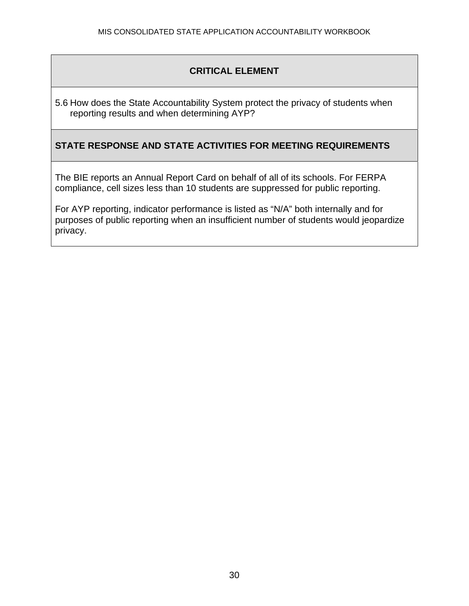5.6 How does the State Accountability System protect the privacy of students when reporting results and when determining AYP?

## **STATE RESPONSE AND STATE ACTIVITIES FOR MEETING REQUIREMENTS**

The BIE reports an Annual Report Card on behalf of all of its schools. For FERPA compliance, cell sizes less than 10 students are suppressed for public reporting.

For AYP reporting, indicator performance is listed as "N/A" both internally and for purposes of public reporting when an insufficient number of students would jeopardize privacy.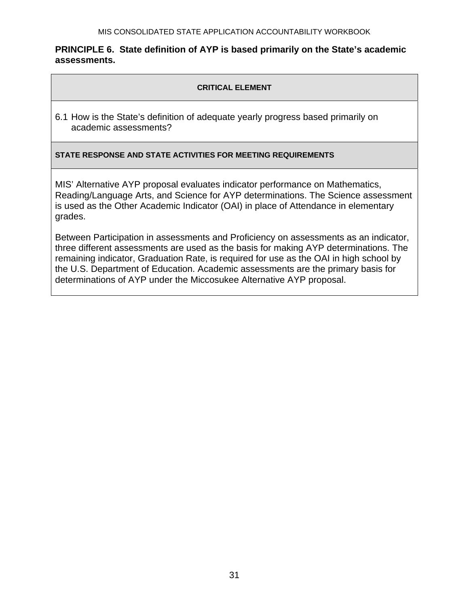#### **PRINCIPLE 6. State definition of AYP is based primarily on the State's academic assessments.**

#### **CRITICAL ELEMENT**

6.1 How is the State's definition of adequate yearly progress based primarily on academic assessments?

#### **STATE RESPONSE AND STATE ACTIVITIES FOR MEETING REQUIREMENTS**

MIS' Alternative AYP proposal evaluates indicator performance on Mathematics, Reading/Language Arts, and Science for AYP determinations. The Science assessment is used as the Other Academic Indicator (OAI) in place of Attendance in elementary grades.

Between Participation in assessments and Proficiency on assessments as an indicator, three different assessments are used as the basis for making AYP determinations. The remaining indicator, Graduation Rate, is required for use as the OAI in high school by the U.S. Department of Education. Academic assessments are the primary basis for determinations of AYP under the Miccosukee Alternative AYP proposal.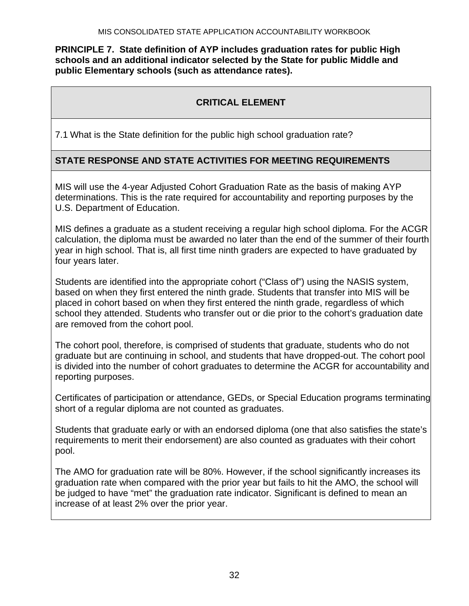**PRINCIPLE 7. State definition of AYP includes graduation rates for public High schools and an additional indicator selected by the State for public Middle and public Elementary schools (such as attendance rates).** 

## **CRITICAL ELEMENT**

7.1 What is the State definition for the public high school graduation rate?

## **STATE RESPONSE AND STATE ACTIVITIES FOR MEETING REQUIREMENTS**

MIS will use the 4-year Adjusted Cohort Graduation Rate as the basis of making AYP determinations. This is the rate required for accountability and reporting purposes by the U.S. Department of Education.

MIS defines a graduate as a student receiving a regular high school diploma. For the ACGR calculation, the diploma must be awarded no later than the end of the summer of their fourth year in high school. That is, all first time ninth graders are expected to have graduated by four years later.

Students are identified into the appropriate cohort ("Class of") using the NASIS system, based on when they first entered the ninth grade. Students that transfer into MIS will be placed in cohort based on when they first entered the ninth grade, regardless of which school they attended. Students who transfer out or die prior to the cohort's graduation date are removed from the cohort pool.

The cohort pool, therefore, is comprised of students that graduate, students who do not graduate but are continuing in school, and students that have dropped-out. The cohort pool is divided into the number of cohort graduates to determine the ACGR for accountability and reporting purposes.

Certificates of participation or attendance, GEDs, or Special Education programs terminating short of a regular diploma are not counted as graduates.

Students that graduate early or with an endorsed diploma (one that also satisfies the state's requirements to merit their endorsement) are also counted as graduates with their cohort pool.

The AMO for graduation rate will be 80%. However, if the school significantly increases its graduation rate when compared with the prior year but fails to hit the AMO, the school will be judged to have "met" the graduation rate indicator. Significant is defined to mean an increase of at least 2% over the prior year.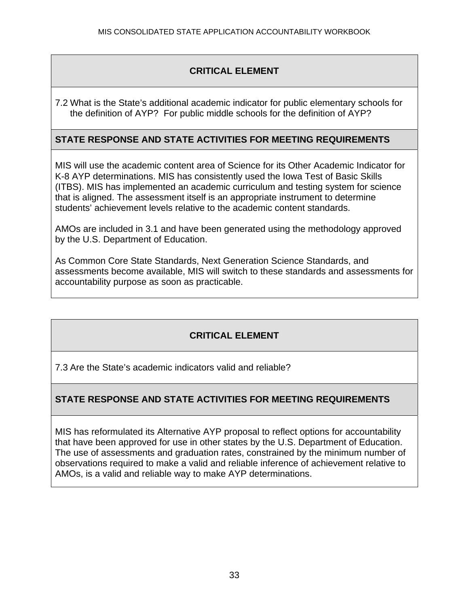7.2 What is the State's additional academic indicator for public elementary schools for the definition of AYP? For public middle schools for the definition of AYP?

## **STATE RESPONSE AND STATE ACTIVITIES FOR MEETING REQUIREMENTS**

MIS will use the academic content area of Science for its Other Academic Indicator for K-8 AYP determinations. MIS has consistently used the Iowa Test of Basic Skills (ITBS). MIS has implemented an academic curriculum and testing system for science that is aligned. The assessment itself is an appropriate instrument to determine students' achievement levels relative to the academic content standards.

AMOs are included in 3.1 and have been generated using the methodology approved by the U.S. Department of Education.

As Common Core State Standards, Next Generation Science Standards, and assessments become available, MIS will switch to these standards and assessments for accountability purpose as soon as practicable.

## **CRITICAL ELEMENT**

7.3 Are the State's academic indicators valid and reliable?

## **STATE RESPONSE AND STATE ACTIVITIES FOR MEETING REQUIREMENTS**

MIS has reformulated its Alternative AYP proposal to reflect options for accountability that have been approved for use in other states by the U.S. Department of Education. The use of assessments and graduation rates, constrained by the minimum number of observations required to make a valid and reliable inference of achievement relative to AMOs, is a valid and reliable way to make AYP determinations.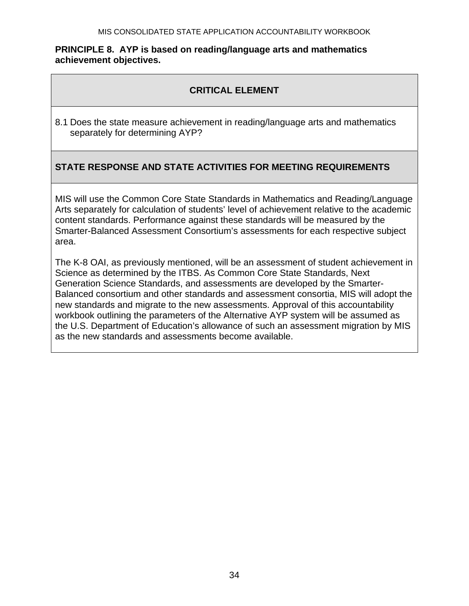#### **PRINCIPLE 8. AYP is based on reading/language arts and mathematics achievement objectives.**

## **CRITICAL ELEMENT**

8.1 Does the state measure achievement in reading/language arts and mathematics separately for determining AYP?

## **STATE RESPONSE AND STATE ACTIVITIES FOR MEETING REQUIREMENTS**

MIS will use the Common Core State Standards in Mathematics and Reading/Language Arts separately for calculation of students' level of achievement relative to the academic content standards. Performance against these standards will be measured by the Smarter-Balanced Assessment Consortium's assessments for each respective subject area.

The K-8 OAI, as previously mentioned, will be an assessment of student achievement in Science as determined by the ITBS. As Common Core State Standards, Next Generation Science Standards, and assessments are developed by the Smarter-Balanced consortium and other standards and assessment consortia, MIS will adopt the new standards and migrate to the new assessments. Approval of this accountability workbook outlining the parameters of the Alternative AYP system will be assumed as the U.S. Department of Education's allowance of such an assessment migration by MIS as the new standards and assessments become available.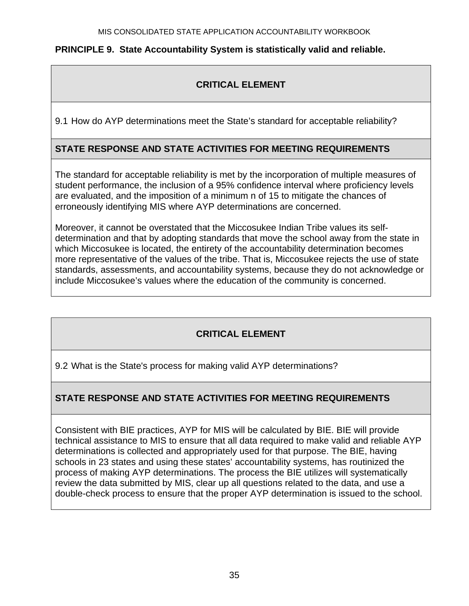## **PRINCIPLE 9. State Accountability System is statistically valid and reliable.**

# **CRITICAL ELEMENT**

9.1 How do AYP determinations meet the State's standard for acceptable reliability?

## **STATE RESPONSE AND STATE ACTIVITIES FOR MEETING REQUIREMENTS**

The standard for acceptable reliability is met by the incorporation of multiple measures of student performance, the inclusion of a 95% confidence interval where proficiency levels are evaluated, and the imposition of a minimum n of 15 to mitigate the chances of erroneously identifying MIS where AYP determinations are concerned.

Moreover, it cannot be overstated that the Miccosukee Indian Tribe values its selfdetermination and that by adopting standards that move the school away from the state in which Miccosukee is located, the entirety of the accountability determination becomes more representative of the values of the tribe. That is, Miccosukee rejects the use of state standards, assessments, and accountability systems, because they do not acknowledge or include Miccosukee's values where the education of the community is concerned.

## **CRITICAL ELEMENT**

9.2 What is the State's process for making valid AYP determinations?

## **STATE RESPONSE AND STATE ACTIVITIES FOR MEETING REQUIREMENTS**

Consistent with BIE practices, AYP for MIS will be calculated by BIE. BIE will provide technical assistance to MIS to ensure that all data required to make valid and reliable AYP determinations is collected and appropriately used for that purpose. The BIE, having schools in 23 states and using these states' accountability systems, has routinized the process of making AYP determinations. The process the BIE utilizes will systematically review the data submitted by MIS, clear up all questions related to the data, and use a double-check process to ensure that the proper AYP determination is issued to the school.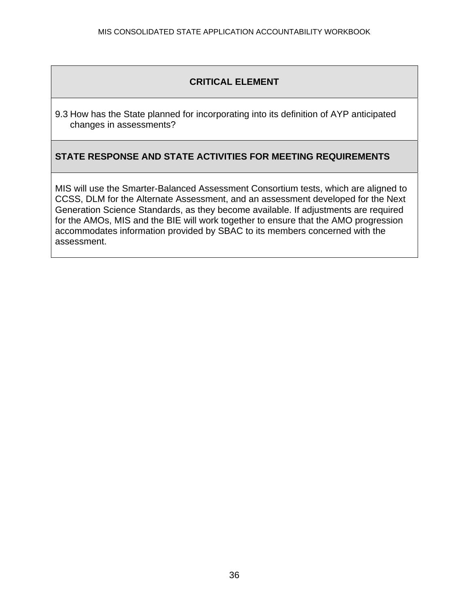9.3 How has the State planned for incorporating into its definition of AYP anticipated changes in assessments?

## **STATE RESPONSE AND STATE ACTIVITIES FOR MEETING REQUIREMENTS**

MIS will use the Smarter-Balanced Assessment Consortium tests, which are aligned to CCSS, DLM for the Alternate Assessment, and an assessment developed for the Next Generation Science Standards, as they become available. If adjustments are required for the AMOs, MIS and the BIE will work together to ensure that the AMO progression accommodates information provided by SBAC to its members concerned with the assessment.